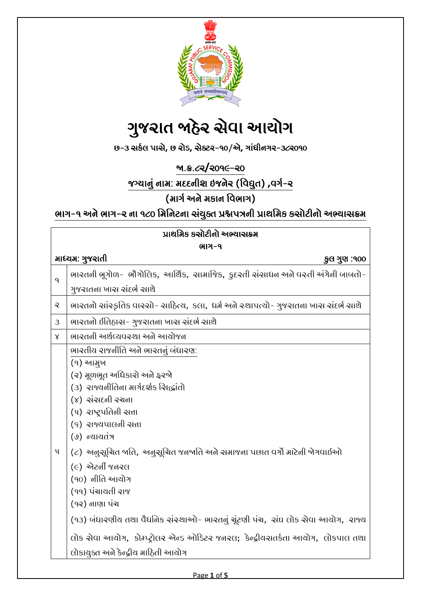

# ગુજરાત જાઠેર સેવા આયોગ

છ-૩ સર્કલ પાસે**,** છ રોડ**,** સેક્ટર-૧૦/એ**,** ગાાંધીનગર-૩૮૨૦૧૦

જા.ક્ર.૮૨**/**૨૦૧૯-૨૦

જગ્યાનુાં નામ: મદદનીશ ઇજનેર (વવદ્યુત) **,**વગક-૨

(માગક અને મર્ાન વવભાગ)

ભાગ-૧ અને ભાગ-૨ ના ૧૮૦ મિનિટના સંચુક્ત પ્રશ્નપત્રની પ્રાથમિક કસોટીનો અભ્યાસક્રમ

| પ્રાથમિક કસોટીનો અભ્યાસક્રમ      |                                                                                                                                                                                                                                                                                                                                                                                                                                                                                                                                                    |  |
|----------------------------------|----------------------------------------------------------------------------------------------------------------------------------------------------------------------------------------------------------------------------------------------------------------------------------------------------------------------------------------------------------------------------------------------------------------------------------------------------------------------------------------------------------------------------------------------------|--|
| ભાગ-૧                            |                                                                                                                                                                                                                                                                                                                                                                                                                                                                                                                                                    |  |
| માધ્ચમ: ગુજરાતી<br>્કુલ ગુણ :૧૦૦ |                                                                                                                                                                                                                                                                                                                                                                                                                                                                                                                                                    |  |
| $\mathsf{q}$                     | ભારતની ભૂગોળ- ભૌગોલિક, આર્થિક, સામાજિક, કુદરતી સંસાધન અને વસ્તી અંગેની બાબતો-                                                                                                                                                                                                                                                                                                                                                                                                                                                                      |  |
|                                  | ગુજરાતના ખાસ સંદર્ભ સાથે                                                                                                                                                                                                                                                                                                                                                                                                                                                                                                                           |  |
| $\mathbf{\mathcal{Q}}$           | ભારતનો સાંસ્કૃતિક વારસો- સાહિત્ય, કલા, ધર્મ અને સ્થાપત્યો- ગુજરાતના ખાસ સંદર્ભ સાથે                                                                                                                                                                                                                                                                                                                                                                                                                                                                |  |
| 3                                | ભારતનો ઈતિહાસ- ગુજરાતના ખાસ સંદર્ભ સાથે                                                                                                                                                                                                                                                                                                                                                                                                                                                                                                            |  |
| $\times$                         | ભારતની અર્થવ્યવસ્થા અને આયોજન                                                                                                                                                                                                                                                                                                                                                                                                                                                                                                                      |  |
| $\mathbf{u}$                     | ભારતીય રાજનીતિ અને ભારતનું બંધારણ:<br>(૧) આમુખ<br>(૨) મૂળભૂત અધિકારો અને ફરજો<br>(૩) રાજ્યનીતિના માર્ગદર્શક સિદ્ધાંતો<br>$(y)$ સંસ $\epsilon$ ની રચના<br>(૫) રાષ્ટ્રપતિની સત્તા<br>(९) રાજ્યપાલની સત્તા<br>(७) ન્યાયતંત્ર<br>(૮) અનુસૂચિત બતિ, અનુસૂચિત જનબતિ અને સમાજના પછાત વર્ગો માટેની બેગવાઈઓ<br>$(e)$ એટર્ની જનરલ<br>(90) નીતિ આયોગ<br>(૧૧) પંચાચતી રાજ<br>(૧૨) નાણા પંચ<br>(૧૩) બંધારણીય તથા વૈધજિક સંસ્થાઓ- ભારતનું ચૂંટણી પંચ, સંઘ લોક સેવા આયોગ, રાજ્ય<br>લોક સેવા આચોગ, કોમ્પ્ટ્રોલર એન્ડ ઓડિટર જનરલ; કેન્દ્રીયસતર્કતા આચોગ, લોકપાલ તથા |  |
|                                  | લોકાયુક્ત અને કેન્દ્રીય માઠિતી આયોગ                                                                                                                                                                                                                                                                                                                                                                                                                                                                                                                |  |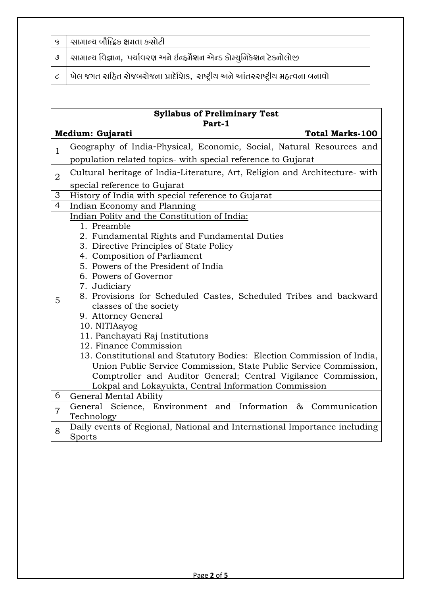| ૬   સામાન્ય બૌદ્ધિક ક્ષમતા કસોટી                                                                      |
|-------------------------------------------------------------------------------------------------------|
| $\mid$ ଓ $\mid$ આમાન્ય વિજ્ઞાન, પર્યાવરણ અને ઈન્ફર્મેશન એન્ડ કોમ્યુનિકેશન ટેકનોલોજી                   |
| $\mid$ $\epsilon$ $\mid$ ખેલ જગત સહિત રોજબરોજના પ્રાદેશિક,  રાષ્ટ્રીય અને આંતરરાષ્ટ્રીય મહત્વના બનાવો |

| <b>Syllabus of Preliminary Test</b> |                                                                                             |  |  |
|-------------------------------------|---------------------------------------------------------------------------------------------|--|--|
| Part-1<br><b>Total Marks-100</b>    |                                                                                             |  |  |
| Medium: Gujarati                    |                                                                                             |  |  |
| $\mathbf{1}$                        | Geography of India-Physical, Economic, Social, Natural Resources and                        |  |  |
|                                     | population related topics- with special reference to Gujarat                                |  |  |
| $\overline{2}$                      | Cultural heritage of India-Literature, Art, Religion and Architecture- with                 |  |  |
|                                     | special reference to Gujarat                                                                |  |  |
| $\overline{3}$                      | History of India with special reference to Gujarat                                          |  |  |
| $\overline{4}$                      | Indian Economy and Planning                                                                 |  |  |
| 5                                   | Indian Polity and the Constitution of India:                                                |  |  |
|                                     | 1. Preamble                                                                                 |  |  |
|                                     | 2. Fundamental Rights and Fundamental Duties                                                |  |  |
|                                     | 3. Directive Principles of State Policy                                                     |  |  |
|                                     | 4. Composition of Parliament                                                                |  |  |
|                                     | 5. Powers of the President of India                                                         |  |  |
|                                     | 6. Powers of Governor                                                                       |  |  |
|                                     | 7. Judiciary                                                                                |  |  |
|                                     | 8. Provisions for Scheduled Castes, Scheduled Tribes and backward<br>classes of the society |  |  |
|                                     | 9. Attorney General                                                                         |  |  |
|                                     | 10. NITIAayog                                                                               |  |  |
|                                     | 11. Panchayati Raj Institutions                                                             |  |  |
|                                     | 12. Finance Commission                                                                      |  |  |
|                                     | 13. Constitutional and Statutory Bodies: Election Commission of India,                      |  |  |
|                                     | Union Public Service Commission, State Public Service Commission,                           |  |  |
|                                     | Comptroller and Auditor General; Central Vigilance Commission,                              |  |  |
|                                     | Lokpal and Lokayukta, Central Information Commission                                        |  |  |
| 6                                   | General Mental Ability                                                                      |  |  |
| $\overline{7}$                      | General Science, Environment and Information & Communication                                |  |  |
|                                     | Technology                                                                                  |  |  |
| 8                                   | Daily events of Regional, National and International Importance including                   |  |  |
|                                     | Sports                                                                                      |  |  |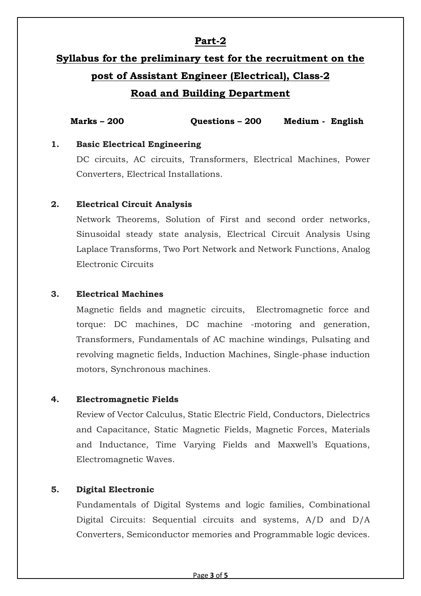## **Part-2**

## **Syllabus for the preliminary test for the recruitment on the post of Assistant Engineer (Electrical), Class-2 Road and Building Department**

**Marks – 200 Questions – 200 Medium - English**

#### **1. Basic Electrical Engineering**

DC circuits, AC circuits, Transformers, Electrical Machines, Power Converters, Electrical Installations.

#### **2. Electrical Circuit Analysis**

Network Theorems, Solution of First and second order networks, Sinusoidal steady state analysis, Electrical Circuit Analysis Using Laplace Transforms, Two Port Network and Network Functions, Analog Electronic Circuits

#### **3. Electrical Machines**

Magnetic fields and magnetic circuits, Electromagnetic force and torque: DC machines, DC machine -motoring and generation, Transformers, Fundamentals of AC machine windings, Pulsating and revolving magnetic fields, Induction Machines, Single-phase induction motors, Synchronous machines.

#### **4. Electromagnetic Fields**

Review of Vector Calculus, Static Electric Field, Conductors, Dielectrics and Capacitance, Static Magnetic Fields, Magnetic Forces, Materials and Inductance, Time Varying Fields and Maxwell's Equations, Electromagnetic Waves.

#### **5. Digital Electronic**

Fundamentals of Digital Systems and logic families, Combinational Digital Circuits: Sequential circuits and systems, A/D and D/A Converters, Semiconductor memories and Programmable logic devices.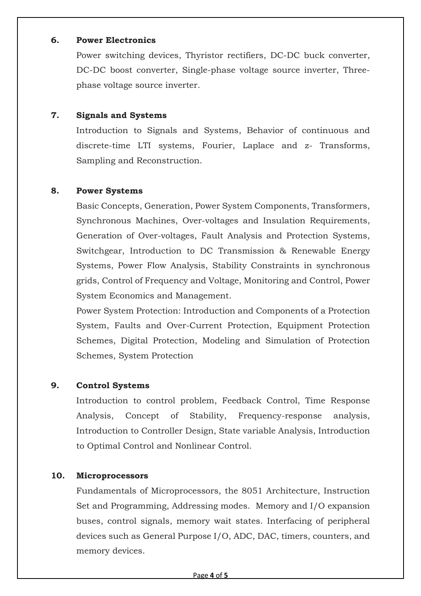#### **6. Power Electronics**

Power switching devices, Thyristor rectifiers, DC-DC buck converter, DC-DC boost converter, Single-phase voltage source inverter, Threephase voltage source inverter.

#### **7. Signals and Systems**

Introduction to Signals and Systems, Behavior of continuous and discrete-time LTI systems, Fourier, Laplace and z- Transforms, Sampling and Reconstruction.

#### **8. Power Systems**

Basic Concepts, Generation, Power System Components, Transformers, Synchronous Machines, Over-voltages and Insulation Requirements, Generation of Over-voltages, Fault Analysis and Protection Systems, Switchgear, Introduction to DC Transmission & Renewable Energy Systems, Power Flow Analysis, Stability Constraints in synchronous grids, Control of Frequency and Voltage, Monitoring and Control, Power System Economics and Management.

Power System Protection: Introduction and Components of a Protection System, Faults and Over-Current Protection, Equipment Protection Schemes, Digital Protection, Modeling and Simulation of Protection Schemes, System Protection

### **9. Control Systems**

Introduction to control problem, Feedback Control, Time Response Analysis, Concept of Stability, Frequency-response analysis, Introduction to Controller Design, State variable Analysis, Introduction to Optimal Control and Nonlinear Control.

#### **10. Microprocessors**

Fundamentals of Microprocessors, the 8051 Architecture, Instruction Set and Programming, Addressing modes. Memory and I/O expansion buses, control signals, memory wait states. Interfacing of peripheral devices such as General Purpose I/O, ADC, DAC, timers, counters, and memory devices.